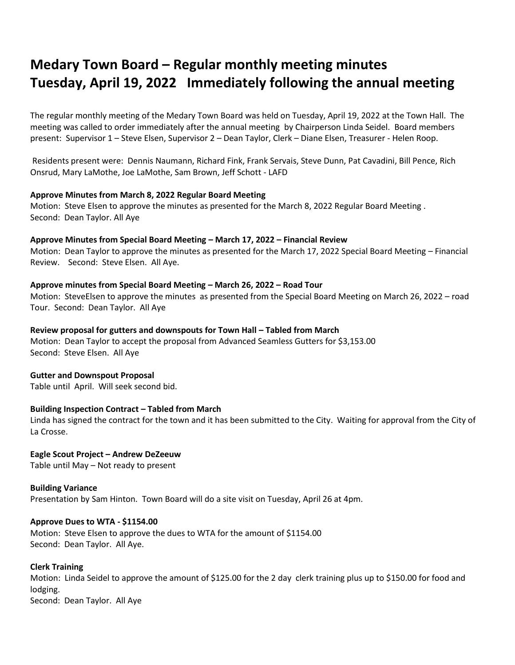# **Medary Town Board – Regular monthly meeting minutes Tuesday, April 19, 2022 Immediately following the annual meeting**

The regular monthly meeting of the Medary Town Board was held on Tuesday, April 19, 2022 at the Town Hall. The meeting was called to order immediately after the annual meeting by Chairperson Linda Seidel. Board members present: Supervisor 1 – Steve Elsen, Supervisor 2 – Dean Taylor, Clerk – Diane Elsen, Treasurer - Helen Roop.

Residents present were: Dennis Naumann, Richard Fink, Frank Servais, Steve Dunn, Pat Cavadini, Bill Pence, Rich Onsrud, Mary LaMothe, Joe LaMothe, Sam Brown, Jeff Schott - LAFD

# **Approve Minutes from March 8, 2022 Regular Board Meeting**

Motion: Steve Elsen to approve the minutes as presented for the March 8, 2022 Regular Board Meeting . Second: Dean Taylor. All Aye

#### **Approve Minutes from Special Board Meeting – March 17, 2022 – Financial Review**

Motion: Dean Taylor to approve the minutes as presented for the March 17, 2022 Special Board Meeting – Financial Review. Second: Steve Elsen. All Aye.

# **Approve minutes from Special Board Meeting – March 26, 2022 – Road Tour**

Motion: SteveElsen to approve the minutes as presented from the Special Board Meeting on March 26, 2022 – road Tour. Second: Dean Taylor. All Aye

#### **Review proposal for gutters and downspouts for Town Hall – Tabled from March**

Motion: Dean Taylor to accept the proposal from Advanced Seamless Gutters for \$3,153.00 Second: Steve Elsen. All Aye

# **Gutter and Downspout Proposal**

Table until April. Will seek second bid.

# **Building Inspection Contract – Tabled from March**

Linda has signed the contract for the town and it has been submitted to the City. Waiting for approval from the City of La Crosse.

**Eagle Scout Project – Andrew DeZeeuw** Table until May – Not ready to present

**Building Variance** Presentation by Sam Hinton. Town Board will do a site visit on Tuesday, April 26 at 4pm.

#### **Approve Dues to WTA - \$1154.00**

Motion: Steve Elsen to approve the dues to WTA for the amount of \$1154.00 Second: Dean Taylor. All Aye.

# **Clerk Training**

Motion: Linda Seidel to approve the amount of \$125.00 for the 2 day clerk training plus up to \$150.00 for food and lodging. Second: Dean Taylor. All Aye